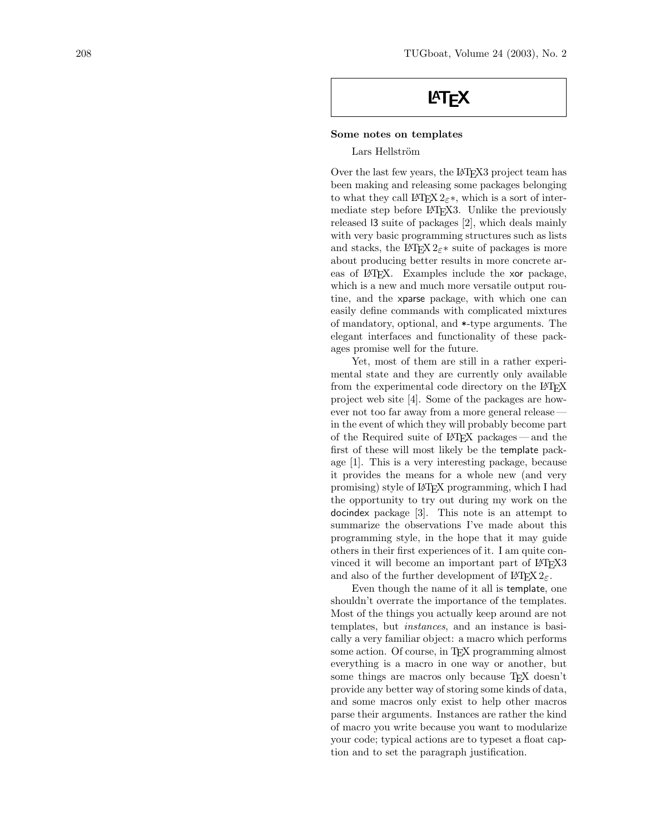## **LAT<sub>F</sub>X**

## Some notes on templates

Lars Hellström

Over the last few years, the LAT<sub>EX3</sub> project team has been making and releasing some packages belonging to what they call LATEX  $2\varepsilon^*$ , which is a sort of intermediate step before LAT<sub>F</sub>X3. Unlike the previously released l3 suite of packages [2], which deals mainly with very basic programming structures such as lists and stacks, the L<sup>AT</sup>EX 2<sub>ε</sub><sup>\*</sup> suite of packages is more about producing better results in more concrete areas of LAT<sub>EX</sub>. Examples include the xor package, which is a new and much more versatile output routine, and the xparse package, with which one can easily define commands with complicated mixtures of mandatory, optional, and \*-type arguments. The elegant interfaces and functionality of these packages promise well for the future.

Yet, most of them are still in a rather experimental state and they are currently only available from the experimental code directory on the LATEX project web site [4]. Some of the packages are however not too far away from a more general release in the event of which they will probably become part of the Required suite of LATEX packages — and the first of these will most likely be the template package [1]. This is a very interesting package, because it provides the means for a whole new (and very promising) style of LATEX programming, which I had the opportunity to try out during my work on the docindex package [3]. This note is an attempt to summarize the observations I've made about this programming style, in the hope that it may guide others in their first experiences of it. I am quite convinced it will become an important part of LAT<sub>EX3</sub> and also of the further development of  $\text{LFT} \times 2 \epsilon$ .

Even though the name of it all is template, one shouldn't overrate the importance of the templates. Most of the things you actually keep around are not templates, but instances, and an instance is basically a very familiar object: a macro which performs some action. Of course, in T<sub>EX</sub> programming almost everything is a macro in one way or another, but some things are macros only because T<sub>E</sub>X doesn't provide any better way of storing some kinds of data, and some macros only exist to help other macros parse their arguments. Instances are rather the kind of macro you write because you want to modularize your code; typical actions are to typeset a float caption and to set the paragraph justification.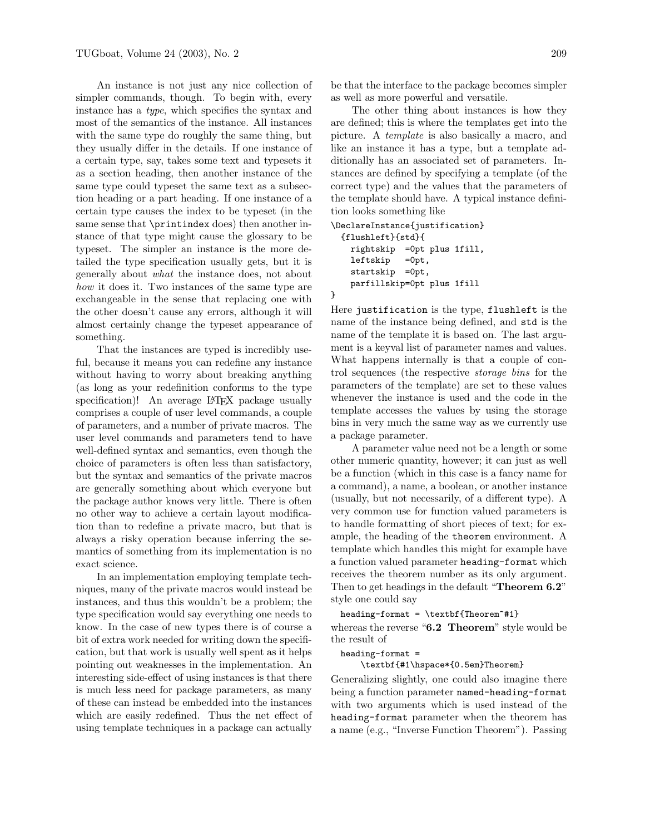An instance is not just any nice collection of simpler commands, though. To begin with, every instance has a type, which specifies the syntax and most of the semantics of the instance. All instances with the same type do roughly the same thing, but they usually differ in the details. If one instance of a certain type, say, takes some text and typesets it as a section heading, then another instance of the same type could typeset the same text as a subsection heading or a part heading. If one instance of a certain type causes the index to be typeset (in the same sense that  $\prime$ rintindex does) then another instance of that type might cause the glossary to be typeset. The simpler an instance is the more detailed the type specification usually gets, but it is generally about what the instance does, not about how it does it. Two instances of the same type are exchangeable in the sense that replacing one with the other doesn't cause any errors, although it will almost certainly change the typeset appearance of something.

That the instances are typed is incredibly useful, because it means you can redefine any instance without having to worry about breaking anything (as long as your redefinition conforms to the type specification)! An average L<sup>AT</sup>EX package usually comprises a couple of user level commands, a couple of parameters, and a number of private macros. The user level commands and parameters tend to have well-defined syntax and semantics, even though the choice of parameters is often less than satisfactory, but the syntax and semantics of the private macros are generally something about which everyone but the package author knows very little. There is often no other way to achieve a certain layout modification than to redefine a private macro, but that is always a risky operation because inferring the semantics of something from its implementation is no exact science.

In an implementation employing template techniques, many of the private macros would instead be instances, and thus this wouldn't be a problem; the type specification would say everything one needs to know. In the case of new types there is of course a bit of extra work needed for writing down the specification, but that work is usually well spent as it helps pointing out weaknesses in the implementation. An interesting side-effect of using instances is that there is much less need for package parameters, as many of these can instead be embedded into the instances which are easily redefined. Thus the net effect of using template techniques in a package can actually

be that the interface to the package becomes simpler as well as more powerful and versatile.

The other thing about instances is how they are defined; this is where the templates get into the picture. A template is also basically a macro, and like an instance it has a type, but a template additionally has an associated set of parameters. Instances are defined by specifying a template (of the correct type) and the values that the parameters of the template should have. A typical instance definition looks something like

```
\DeclareInstance{justification}
  {flushleft}{std}{
   rightskip =0pt plus 1fill,
   leftskip =0pt,
   startskip =0pt,
   parfillskip=0pt plus 1fill
}
```
Here justification is the type, flushleft is the name of the instance being defined, and std is the name of the template it is based on. The last argument is a keyval list of parameter names and values. What happens internally is that a couple of control sequences (the respective storage bins for the parameters of the template) are set to these values whenever the instance is used and the code in the template accesses the values by using the storage bins in very much the same way as we currently use a package parameter.

A parameter value need not be a length or some other numeric quantity, however; it can just as well be a function (which in this case is a fancy name for a command), a name, a boolean, or another instance (usually, but not necessarily, of a different type). A very common use for function valued parameters is to handle formatting of short pieces of text; for example, the heading of the theorem environment. A template which handles this might for example have a function valued parameter heading-format which receives the theorem number as its only argument. Then to get headings in the default "Theorem 6.2" style one could say

 $heading-format = \textbf{Theorem^#1}$ 

whereas the reverse " $6.2$  Theorem" style would be the result of

heading-format =

\textbf{#1\hspace\*{0.5em}Theorem}

Generalizing slightly, one could also imagine there being a function parameter named-heading-format with two arguments which is used instead of the heading-format parameter when the theorem has a name (e.g., "Inverse Function Theorem"). Passing